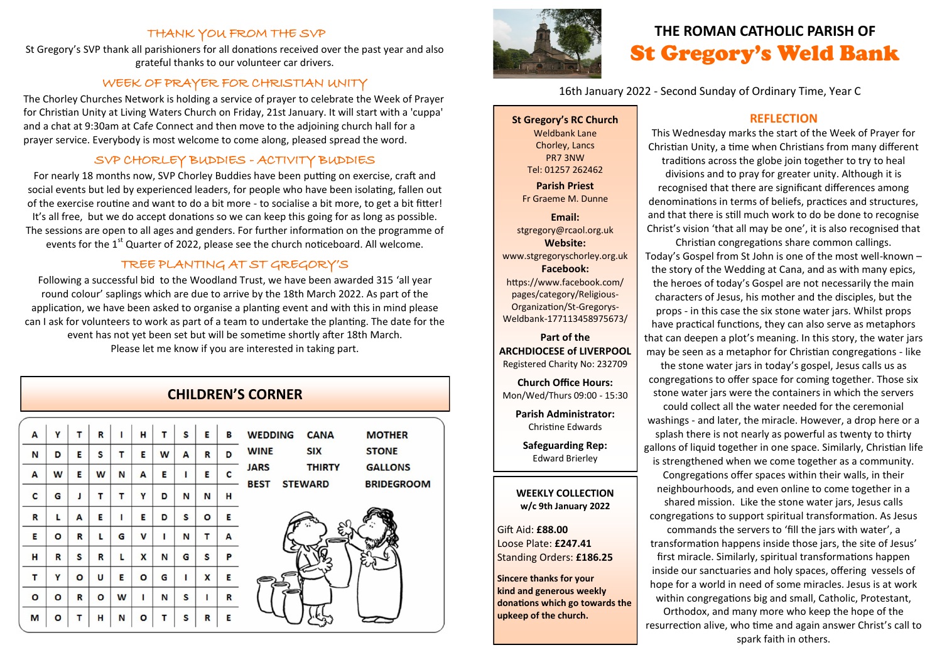## THANK YOU FROM THE SVP

St Gregory's SVP thank all parishioners for all donations received over the past year and also grateful thanks to our volunteer car drivers.

## WEEK OF PRAYER FOR CHRISTIAN UNITY

The Chorley Churches Network is holding a service of prayer to celebrate the Week of Prayer for Christian Unity at Living Waters Church on Friday, 21st January. It will start with a 'cuppa' and a chat at 9:30am at Caf*e* Connect and then move to the adjoining church hall for a prayer service. Everybody is most welcome to come along, pleased spread the word.

# SVP CHORLEY BUDDIES - ACTIVITY BUDDIES

For nearly 18 months now, SVP Chorley Buddies have been putting on exercise, craft and social events but led by experienced leaders, for people who have been isolating, fallen out of the exercise routine and want to do a bit more - to socialise a bit more, to get a bit fitter! It's all free, but we do accept donations so we can keep this going for as long as possible. The sessions are open to all ages and genders. For further information on the programme of events for the 1<sup>st</sup> Quarter of 2022, please see the church noticeboard. All welcome.

# TREE PLANTING AT ST GREGORY'S

Following a successful bid to the Woodland Trust, we have been awarded 315 'all year round colour' saplings which are due to arrive by the 18th March 2022. As part of the application, we have been asked to organise a planting event and with this in mind please can I ask for volunteers to work as part of a team to undertake the planting. The date for the event has not yet been set but will be sometime shortly after 18th March. Please let me know if you are interested in taking part.

# **CHILDREN'S CORNER**

| A | Y       |         | R | ı | н | T | S | E | в | <b>WEDDING</b><br><b>CANA</b> | <b>MOTHER</b>     |
|---|---------|---------|---|---|---|---|---|---|---|-------------------------------|-------------------|
| N | D       | E       | S | т | E | W | A | R | D | <b>WINE</b><br><b>SIX</b>     | <b>STONE</b>      |
| A | W       | Е       | W | N | A | E | ı | E | c | <b>JARS</b><br><b>THIRTY</b>  | <b>GALLONS</b>    |
| c | G       |         | т | т | Υ | D | N | N | н | <b>BEST</b><br><b>STEWARD</b> | <b>BRIDEGROOM</b> |
| R | L       | A       | Е | ı | E | D | S | O | Ε |                               |                   |
| Е | O       | R       | L | G | v | ı | N | т | A |                               |                   |
| н | R       | S       | R | L | X | N | G | S | P |                               |                   |
| т | Y       | $\circ$ | U | Е | O | G | п | X | E |                               |                   |
| O | $\circ$ | R       | O | W | ı | N | S |   | R |                               |                   |
|   |         |         |   |   |   |   |   |   |   |                               |                   |
| M | O       | т       | н | N | O | т | S | R | E |                               |                   |



# **THE ROMAN CATHOLIC PARISH OF** St Gregory's Weld Bank

16th January 2022 - Second Sunday of Ordinary Time, Year C

**St Gregory's RC Church** Weldbank Lane Chorley, Lancs PR7 3NW Tel: 01257 262462

**Parish Priest** Fr Graeme M. Dunne

**Email:** stgregory@rcaol.org.uk **Website:** www.stgregoryschorley.org.uk **Facebook:** https://www.facebook.com/ pages/category/Religious-Organization/St-Gregorys-Weldbank-177113458975673/

**Part of the ARCHDIOCESE of LIVERPOOL**  Registered Charity No: 232709

**Church Office Hours:** Mon/Wed/Thurs 09:00 - 15:30

**Parish Administrator:** Christine Edwards

**Safeguarding Rep:** Edward Brierley

#### **WEEKLY COLLECTION w/c 9th January 2022**

Gift Aid: **£88.00** Loose Plate: **£247.41** Standing Orders: **£186.25**

**Sincere thanks for your kind and generous weekly donations which go towards the upkeep of the church.** 

# **REFLECTION**

This Wednesday marks the start of the Week of Prayer for Christian Unity, a time when Christians from many different traditions across the globe join together to try to heal divisions and to pray for greater unity. Although it is recognised that there are significant differences among denominations in terms of beliefs, practices and structures, and that there is still much work to do be done to recognise Christ's vision 'that all may be one', it is also recognised that

Christian congregations share common callings. Today's Gospel from St John is one of the most well-known – the story of the Wedding at Cana, and as with many epics, the heroes of today's Gospel are not necessarily the main characters of Jesus, his mother and the disciples, but the props - in this case the six stone water jars. Whilst props have practical functions, they can also serve as metaphors that can deepen a plot's meaning. In this story, the water jars may be seen as a metaphor for Christian congregations - like

the stone water jars in today's gospel, Jesus calls us as congregations to offer space for coming together. Those six stone water jars were the containers in which the servers

could collect all the water needed for the ceremonial washings - and later, the miracle. However, a drop here or a splash there is not nearly as powerful as twenty to thirty gallons of liquid together in one space. Similarly, Christian life is strengthened when we come together as a community.

Congregations offer spaces within their walls, in their neighbourhoods, and even online to come together in a shared mission. Like the stone water jars, Jesus calls congregations to support spiritual transformation. As Jesus

commands the servers to 'fill the jars with water', a transformation happens inside those jars, the site of Jesus' first miracle. Similarly, spiritual transformations happen inside our sanctuaries and holy spaces, offering vessels of hope for a world in need of some miracles. Jesus is at work within congregations big and small, Catholic, Protestant, Orthodox, and many more who keep the hope of the resurrection alive, who time and again answer Christ's call to spark faith in others.